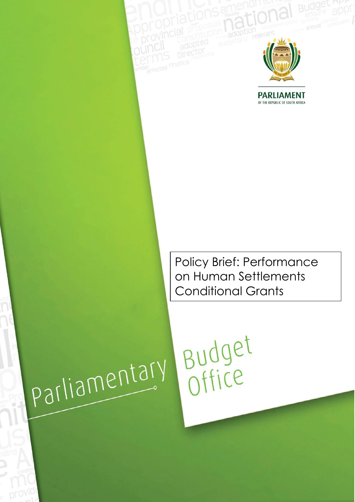

**PARLIAMENT** OF THE REPUBLIC OF SOUTH AFRICA

Policy Brief: Performance on Human Settlements Conditional Grants

Budget

# parliamentary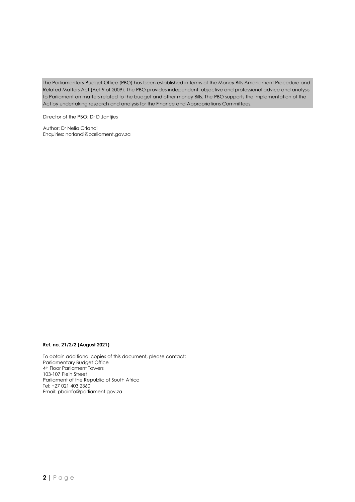The Parliamentary Budget Office (PBO) has been established in terms of the Money Bills Amendment Procedure and Related Matters Act (Act 9 of 2009). The PBO provides independent, objective and professional advice and analysis to Parliament on matters related to the budget and other money Bills. The PBO supports the implementation of the Act by undertaking research and analysis for the Finance and Appropriations Committees.

Director of the PBO: Dr D Jantjies

Author: Dr Nelia Orlandi Enquiries: [norlandi@parliament.gov.za](mailto:norlandi@parliament.gov.za)

### **Ref. no. 21/2/2 (August 2021)**

To obtain additional copies of this document, please contact: Parliamentary Budget Office 4<sup>th</sup> Floor Parliament Towers 103-107 Plein Street Parliament of the Republic of South Africa Tel: +27 021 403 2360 Email: [pboinfo@parliament.gov.za](mailto:pboinfo@parliament.gov.za)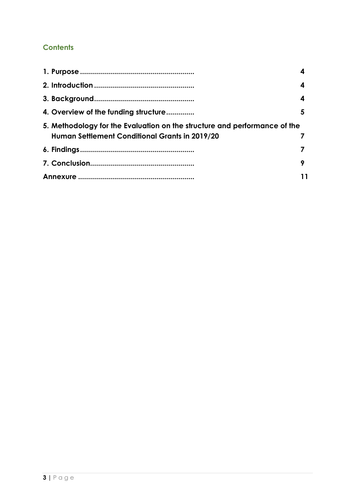# **Contents**

| 4. Overview of the funding structure                                                                                        | 5 |
|-----------------------------------------------------------------------------------------------------------------------------|---|
| 5. Methodology for the Evaluation on the structure and performance of the<br>Human Settlement Conditional Grants in 2019/20 |   |
|                                                                                                                             |   |
|                                                                                                                             | 9 |
|                                                                                                                             |   |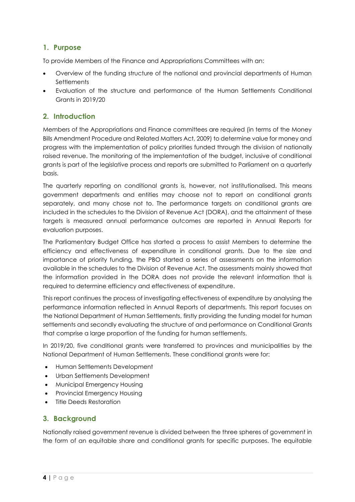# <span id="page-3-0"></span>**1. Purpose**

To provide Members of the Finance and Appropriations Committees with an:

- Overview of the funding structure of the national and provincial departments of Human **Settlements**
- Evaluation of the structure and performance of the Human Settlements Conditional Grants in 2019/20

# <span id="page-3-1"></span>**2. Introduction**

Members of the Appropriations and Finance committees are required (in terms of the Money Bills Amendment Procedure and Related Matters Act, 2009) to determine value for money and progress with the implementation of policy priorities funded through the division of nationally raised revenue. The monitoring of the implementation of the budget, inclusive of conditional grants is part of the legislative process and reports are submitted to Parliament on a quarterly basis.

The quarterly reporting on conditional grants is, however, not institutionalised. This means government departments and entities may choose not to report on conditional grants separately, and many chose not to. The performance targets on conditional grants are included in the schedules to the Division of Revenue Act (DORA), and the attainment of these targets is measured annual performance outcomes are reported in Annual Reports for evaluation purposes.

The Parliamentary Budget Office has started a process to assist Members to determine the efficiency and effectiveness of expenditure in conditional grants. Due to the size and importance of priority funding, the PBO started a series of assessments on the information available in the schedules to the Division of Revenue Act. The assessments mainly showed that the information provided in the DORA does not provide the relevant information that is required to determine efficiency and effectiveness of expenditure.

This report continues the process of investigating effectiveness of expenditure by analysing the performance information reflected in Annual Reports of departments. This report focuses on the National Department of Human Settlements, firstly providing the funding model for human settlements and secondly evaluating the structure of and performance on Conditional Grants that comprise a large proportion of the funding for human settlements.

In 2019/20, five conditional grants were transferred to provinces and municipalities by the National Department of Human Settlements. These conditional grants were for:

- Human Settlements Development
- Urban Settlements Development
- Municipal Emergency Housing
- Provincial Emergency Housing
- Title Deeds Restoration

### <span id="page-3-2"></span>**3. Background**

Nationally raised government revenue is divided between the three spheres of government in the form of an equitable share and conditional grants for specific purposes. The equitable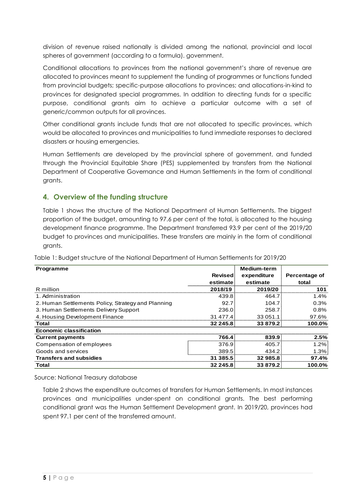division of revenue raised nationally is divided among the national, provincial and local spheres of government (according to a formula). government.

Conditional allocations to provinces from the national government's share of revenue are allocated to provinces meant to supplement the funding of programmes or functions funded from provincial budgets; specific-purpose allocations to provinces; and allocations-in-kind to provinces for designated special programmes. In addition to directing funds for a specific purpose, conditional grants aim to achieve a particular outcome with a set of generic/common outputs for all provinces.

Other conditional grants include funds that are not allocated to specific provinces, which would be allocated to provinces and municipalities to fund immediate responses to declared disasters or housing emergencies.

Human Settlements are developed by the provincial sphere of government, and funded through the Provincial Equitable Share (PES) supplemented by transfers from the National Department of Cooperative Governance and Human Settlements in the form of conditional grants.

## <span id="page-4-0"></span>**4. Overview of the funding structure**

Table 1 shows the structure of the National Department of Human Settlements. The biggest proportion of the budget, amounting to 97.6 per cent of the total, is allocated to the housing development finance programme. The Department transferred 93.9 per cent of the 2019/20 budget to provinces and municipalities. These transfers are mainly in the form of conditional grants.

| Programme                                          |                | Medium-term |               |
|----------------------------------------------------|----------------|-------------|---------------|
|                                                    | <b>Revised</b> | expenditure | Percentage of |
|                                                    | estimate       | estimate    | total         |
| R million                                          | 2018/19        | 2019/20     | 101           |
| 1. Administration                                  | 439.8          | 464.7       | 1.4%          |
| 2. Human Settlements Policy, Strategy and Planning | 92.7           | 104.7       | 0.3%          |
| 3. Human Settlements Delivery Support              | 236.0          | 258.7       | $0.8\%$       |
| 4. Housing Development Finance                     | 31 477.4       | 33 051.1    | 97.6%         |
| Total                                              | 32 245.8       | 33 879.2    | 100.0%        |
| <b>Economic classification</b>                     |                |             |               |
| <b>Current payments</b>                            | 766.4          | 839.9       | 2.5%          |
| Compensation of employees                          | 376.9          | 405.7       | 1.2%          |
| Goods and services                                 | 389.5          | 434.2       | 1.3%          |
| <b>Transfers and subsidies</b>                     | 31 385.5       | 32985.8     | 97.4%         |
| Total                                              | 32 245.8       | 33879.2     | 100.0%        |

Table 1: Budget structure of the National Department of Human Settlements for 2019/20

Source: National Treasury database

Table 2 shows the expenditure outcomes of transfers for Human Settlements. In most instances provinces and municipalities under-spent on conditional grants. The best performing conditional grant was the Human Settlement Development grant. In 2019/20, provinces had spent 97.1 per cent of the transferred amount.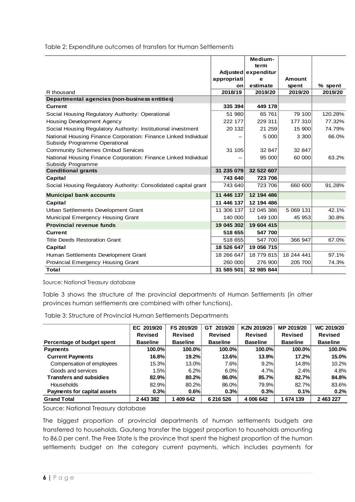Table 2: Expenditure outcomes of transfers for Human Settlements

|                                                                 |             | Medium-             |            |         |
|-----------------------------------------------------------------|-------------|---------------------|------------|---------|
|                                                                 |             | term                |            |         |
|                                                                 |             | Adjusted expenditur |            |         |
|                                                                 | appropriati | е                   | Amount     |         |
|                                                                 | on∖         | estimate            | spent      | % spent |
| R thousand                                                      | 2018/19     | 2019/20             | 2019/20    | 2019/20 |
| Departmental agencies (non-business entities)                   |             |                     |            |         |
| <b>Current</b>                                                  | 335 394     | 449 178             |            |         |
| Social Housing Regulatory Authority: Operational                | 51 980      | 65 761              | 79 100     | 120.28% |
| <b>Housing Development Agency</b>                               | 222 177     | 229 311             | 177 310    | 77.32%  |
| Social Housing Regulatory Authority: Institutional investment   | 20 132      | 21 259              | 15 900     | 74.79%  |
| National Housing Finance Corporation: Finance Linked Individual |             | 5 000               | 3 3 0 0    | 66.0%   |
| Subsidy Programme Operational                                   |             |                     |            |         |
| <b>Community Schemes Ombud Services</b>                         | 31 105      | 32 847              | 32 847     |         |
| National Housing Finance Corporation: Finance Linked Individual |             | 95 000              | 60 000     | 63.2%   |
| Subsidy Programme                                               |             |                     |            |         |
| <b>Conditional grants</b>                                       | 31 235 079  | 32 522 607          |            |         |
| Capital                                                         | 743 640     | 723 706             |            |         |
| Social Housing Regulatory Authority: Consolidated capital grant | 743 640     | 723 706             | 660 600    | 91.28%  |
| <b>Municipal bank accounts</b>                                  | 11 446 137  | 12 194 486          |            |         |
| Capital                                                         | 11 446 137  | 12 194 486          |            |         |
| Urban Settlements Development Grant                             | 11 306 137  | 12 045 386          | 5 069 131  | 42.1%   |
| Municipal Emergency Housing Grant                               | 140 000     | 149 100             | 45 953     | 30.8%   |
| <b>Provincial revenue funds</b>                                 | 19 045 302  | 19 604 415          |            |         |
| <b>Current</b>                                                  | 518 655     | 547 700             |            |         |
| <b>Title Deeds Restoration Grant</b>                            | 518 655     | 547 700             | 366 947    | 67.0%   |
| Capital                                                         | 18 526 647  | 19 056 715          |            |         |
| Human Settlements Development Grant                             | 18 266 647  | 18 779 815          | 18 244 441 | 97.1%   |
| <b>Provincial Emergency Housing Grant</b>                       | 260 000     | 276 900             | 205 700    | 74.3%   |
| Total                                                           | 31 585 501  | 32 985 844          |            |         |

Source: National Treasury database

Table 3 shows the structure of the provincial departments of Human Settlements (in other provinces human settlements are combined with other functions).

Table 3: Structure of Provincial Human Settlements Departments

|                                    | EC 2019/20      | FS 2019/20      | 2019/20<br><b>GT</b> | KZN 2019/20     | MP 2019/20      | WC 2019/20      |
|------------------------------------|-----------------|-----------------|----------------------|-----------------|-----------------|-----------------|
|                                    | <b>Revised</b>  | <b>Revised</b>  | <b>Revised</b>       | Revised         | <b>Revised</b>  | <b>Revised</b>  |
| Percentage of budget spent         | <b>Baseline</b> | <b>Baseline</b> | <b>Baseline</b>      | <b>Baseline</b> | <b>Baseline</b> | <b>Baseline</b> |
| <b>Payments</b>                    | 100.0%          | 100.0%          | 100.0%               | 100.0%          | 100.0%          | 100.0%          |
| <b>Current Payments</b>            | 16.8%           | 19.2%           | 13.6%                | 13.9%           | 17.2%           | 15.0%           |
| Compensation of employees          | 15.3%           | 13.0%           | 7.6%                 | 9.2%            | 14.8%           | 10.2%           |
| Goods and services                 | 1.5%            | 6.2%            | 6.0%                 | 4.7%            | 2.4%            | 4.8%            |
| <b>Transfers and subsidies</b>     | 82.9%           | 80.2%           | 86.0%                | 85.7%           | 82.7%           | 84.8%           |
| <b>Households</b>                  | 82.9%           | 80.2%           | 86.0%                | 79.9%           | 82.7%           | 83.6%           |
| <b>Payments for capital assets</b> | 0.3%            | 0.6%            | 0.3%                 | 0.3%            | 0.1%            | 0.2%            |
| <b>Grand Total</b>                 | 2 443 382       | 409 642         | 6 216 526            | 4 006 642       | 1674139         | 2 463 227       |

Source: National Treasury database

The biggest proportion of provincial departments of human settlements budgets are transferred to households. Gauteng transfer the biggest proportion to households amounting to 86.0 per cent. The Free State is the province that spent the highest proportion of the human settlements budget on the category current payments, which includes payments for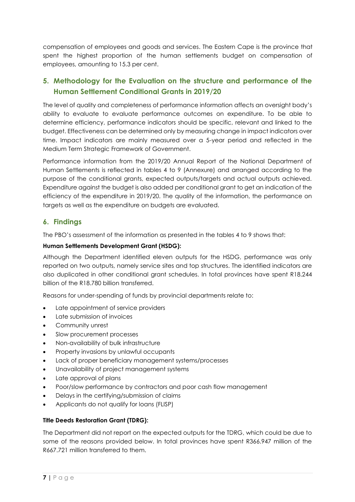compensation of employees and goods and services. The Eastern Cape is the province that spent the highest proportion of the human settlements budget on compensation of employees, amounting to 15.3 per cent.

# <span id="page-6-0"></span>**5. Methodology for the Evaluation on the structure and performance of the Human Settlement Conditional Grants in 2019/20**

The level of quality and completeness of performance information affects an oversight body's ability to evaluate to evaluate performance outcomes on expenditure. To be able to determine efficiency, performance indicators should be specific, relevant and linked to the budget. Effectiveness can be determined only by measuring change in impact indicators over time. Impact indicators are mainly measured over a 5-year period and reflected in the Medium Term Strategic Framework of Government.

Performance information from the 2019/20 Annual Report of the National Department of Human Settlements is reflected in tables 4 to 9 (Annexure) and arranged according to the purpose of the conditional grants, expected outputs/targets and actual outputs achieved. Expenditure against the budget is also added per conditional grant to get an indication of the efficiency of the expenditure in 2019/20. The quality of the information, the performance on targets as well as the expenditure on budgets are evaluated.

# <span id="page-6-1"></span>**6. Findings**

The PBO's assessment of the information as presented in the tables 4 to 9 shows that:

### **Human Settlements Development Grant (HSDG):**

Although the Department identified eleven outputs for the HSDG, performance was only reported on two outputs, namely service sites and top structures. The identified indicators are also duplicated in other conditional grant schedules. In total provinces have spent R18.244 billion of the R18.780 billion transferred.

Reasons for under-spending of funds by provincial departments relate to:

- Late appointment of service providers
- Late submission of invoices
- Community unrest
- Slow procurement processes
- Non-availability of bulk infrastructure
- Property invasions by unlawful occupants
- Lack of proper beneficiary management systems/processes
- Unavailability of project management systems
- Late approval of plans
- Poor/slow performance by contractors and poor cash flow management
- Delays in the certifying/submission of claims
- Applicants do not qualify for loans (FLISP)

### **Title Deeds Restoration Grant (TDRG):**

The Department did not report on the expected outputs for the TDRG, which could be due to some of the reasons provided below. In total provinces have spent R366.947 million of the R667.721 million transferred to them.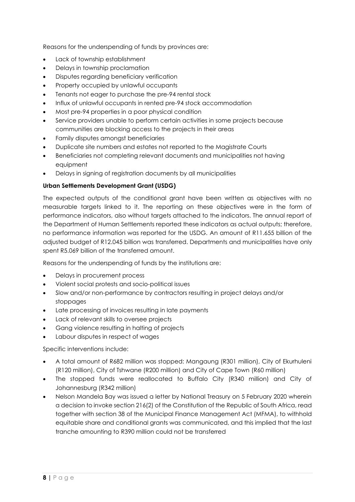Reasons for the underspending of funds by provinces are:

- Lack of township establishment
- Delays in township proclamation
- Disputes regarding beneficiary verification
- Property occupied by unlawful occupants
- Tenants not eager to purchase the pre-94 rental stock
- Influx of unlawful occupants in rented pre-94 stock accommodation
- Most pre-94 properties in a poor physical condition
- Service providers unable to perform certain activities in some projects because communities are blocking access to the projects in their areas
- Family disputes amongst beneficiaries
- Duplicate site numbers and estates not reported to the Magistrate Courts
- Beneficiaries not completing relevant documents and municipalities not having equipment
- Delays in signing of registration documents by all municipalities

### **Urban Settlements Development Grant (USDG)**

The expected outputs of the conditional grant have been written as objectives with no measurable targets linked to it. The reporting on these objectives were in the form of performance indicators, also without targets attached to the indicators. The annual report of the Department of Human Settlements reported these indicators as actual outputs; therefore, no performance information was reported for the USDG. An amount of R11.655 billion of the adjusted budget of R12.045 billion was transferred. Departments and municipalities have only spent R5.069 billion of the transferred amount.

Reasons for the underspending of funds by the institutions are:

- Delays in procurement process
- Violent social protests and socio-political issues
- Slow and/or non-performance by contractors resulting in project delays and/or stoppages
- Late processing of invoices resulting in late payments
- Lack of relevant skills to oversee projects
- Gang violence resulting in halting of projects
- Labour disputes in respect of wages

Specific interventions include:

- A total amount of R682 million was stopped: Mangaung (R301 million), City of Ekurhuleni (R120 million), City of Tshwane (R200 million) and City of Cape Town (R60 million)
- The stopped funds were reallocated to Buffalo City (R340 million) and City of Johannesburg (R342 million)
- Nelson Mandela Bay was issued a letter by National Treasury on 5 February 2020 wherein a decision to invoke section 216(2) of the Constitution of the Republic of South Africa, read together with section 38 of the Municipal Finance Management Act (MFMA), to withhold equitable share and conditional grants was communicated, and this implied that the last tranche amounting to R390 million could not be transferred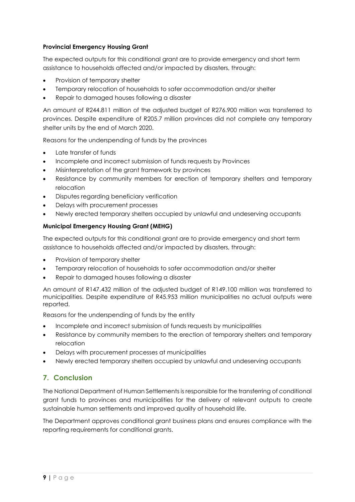### **Provincial Emergency Housing Grant**

The expected outputs for this conditional grant are to provide emergency and short term assistance to households affected and/or impacted by disasters, through:

- Provision of temporary shelter
- Temporary relocation of households to safer accommodation and/or shelter
- Repair to damaged houses following a disaster

An amount of R244.811 million of the adjusted budget of R276.900 million was transferred to provinces. Despite expenditure of R205.7 million provinces did not complete any temporary shelter units by the end of March 2020.

Reasons for the underspending of funds by the provinces

- Late transfer of funds
- Incomplete and incorrect submission of funds requests by Provinces
- Misinterpretation of the grant framework by provinces
- Resistance by community members for erection of temporary shelters and temporary relocation
- Disputes regarding beneficiary verification
- Delays with procurement processes
- Newly erected temporary shelters occupied by unlawful and undeserving occupants

### **Municipal Emergency Housing Grant (MEHG)**

The expected outputs for this conditional grant are to provide emergency and short term assistance to households affected and/or impacted by disasters, through:

- Provision of temporary shelter
- Temporary relocation of households to safer accommodation and/or shelter
- Repair to damaged houses following a disaster

An amount of R147.432 million of the adjusted budget of R149.100 million was transferred to municipalities. Despite expenditure of R45.953 million municipalities no actual outputs were reported.

Reasons for the underspending of funds by the entity

- Incomplete and incorrect submission of funds requests by municipalities
- Resistance by community members to the erection of temporary shelters and temporary relocation
- Delays with procurement processes at municipalities
- Newly erected temporary shelters occupied by unlawful and undeserving occupants

# <span id="page-8-0"></span>**7. Conclusion**

The National Department of Human Settlements is responsible for the transferring of conditional grant funds to provinces and municipalities for the delivery of relevant outputs to create sustainable human settlements and improved quality of household life.

The Department approves conditional grant business plans and ensures compliance with the reporting requirements for conditional grants.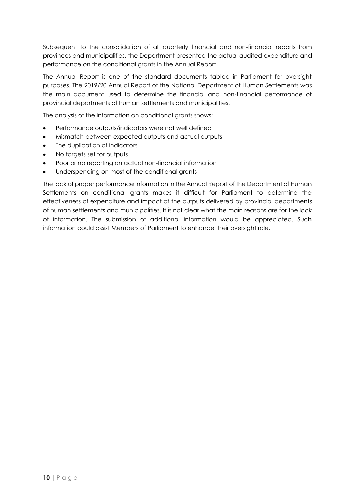Subsequent to the consolidation of all quarterly financial and non-financial reports from provinces and municipalities, the Department presented the actual audited expenditure and performance on the conditional grants in the Annual Report.

The Annual Report is one of the standard documents tabled in Parliament for oversight purposes. The 2019/20 Annual Report of the National Department of Human Settlements was the main document used to determine the financial and non-financial performance of provincial departments of human settlements and municipalities.

The analysis of the information on conditional grants shows:

- Performance outputs/indicators were not well defined
- Mismatch between expected outputs and actual outputs
- The duplication of indicators
- No targets set for outputs
- Poor or no reporting on actual non-financial information
- Underspending on most of the conditional grants

The lack of proper performance information in the Annual Report of the Department of Human Settlements on conditional grants makes it difficult for Parliament to determine the effectiveness of expenditure and impact of the outputs delivered by provincial departments of human settlements and municipalities. It is not clear what the main reasons are for the lack of information. The submission of additional information would be appreciated. Such information could assist Members of Parliament to enhance their oversight role.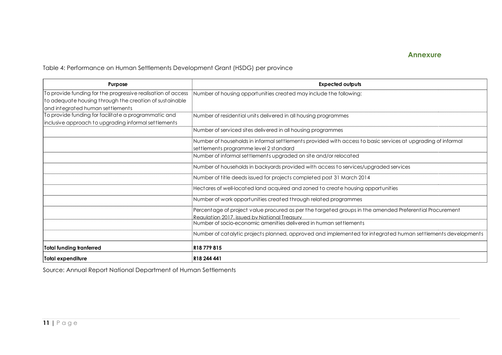## **Annexure**

Table 4: Performance on Human Settlements Development Grant (HSDG) per province

| Purpose                                                                                                                                                     | <b>Expected outputs</b>                                                                                                                                 |
|-------------------------------------------------------------------------------------------------------------------------------------------------------------|---------------------------------------------------------------------------------------------------------------------------------------------------------|
| To provide funding for the progressive realisation of access<br>to adequate housing through the creation of sustainable<br>and integrated human settlements | Number of housing opportunities created may include the following:                                                                                      |
| To provide funding for facilitate a programmatic and<br>inclusive approach to upgrading informal settlements                                                | Number of residential units delivered in all housing programmes                                                                                         |
|                                                                                                                                                             | Number of serviced sites delivered in all housing programmes                                                                                            |
|                                                                                                                                                             | Number of households in informal settlements provided with access to basic services at upgrading of informal<br>settlements programme level 2 standard  |
|                                                                                                                                                             | Number of informal settlements upgraded on site and/or relocated                                                                                        |
|                                                                                                                                                             | Number of households in backyards provided with access to services/upgraded services                                                                    |
|                                                                                                                                                             | Number of title deeds issued for projects completed post 31 March 2014                                                                                  |
|                                                                                                                                                             | Hectares of well-located land acquired and zoned to create housing opportunities                                                                        |
|                                                                                                                                                             | Number of work opportunities created through related programmes                                                                                         |
|                                                                                                                                                             | Percentage of project value procured as per the targeted groups in the amended Preferential Procurement<br>Requiption 2017, issued by National Treasury |
|                                                                                                                                                             | Number of socio-economic amenities delivered in human settlements                                                                                       |
|                                                                                                                                                             | Number of catalytic projects planned, approved and implemented for integrated human settlements developments                                            |
| <b>Total funding tranferred</b>                                                                                                                             | R18779815                                                                                                                                               |
| Total expenditure                                                                                                                                           | R18 244 441                                                                                                                                             |

<span id="page-10-0"></span>Source: Annual Report National Department of Human Settlements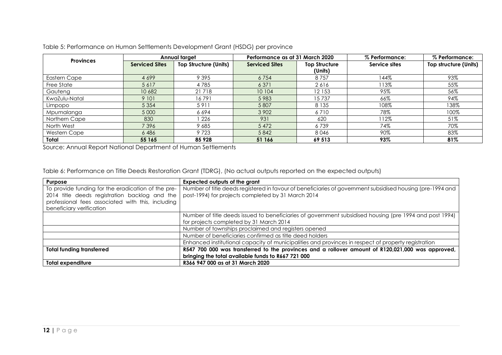| <b>Provinces</b> |                       | Annual target                | Performance as at 31 March 2020 |                      | % Performance: | % Performance:        |
|------------------|-----------------------|------------------------------|---------------------------------|----------------------|----------------|-----------------------|
|                  | <b>Serviced Sites</b> | <b>Top Structure (Units)</b> | <b>Serviced Sites</b>           | <b>Top Structure</b> | Service sites  | Top structure (Units) |
|                  |                       |                              |                                 | (Units)              |                |                       |
| Eastern Cape     | 4699                  | 9 3 9 5                      | 6754                            | 8757                 | 44%            | 93%                   |
| Free State       | 5617                  | 4785                         | 6 3 7 1                         | 2616                 | 113%           | 55%                   |
| Gauteng          | 10 682                | 21718                        | 10 104                          | 12 153               | 95%            | 56%                   |
| KwaZulu-Natal    | 9 10 1                | 16791                        | 5983                            | 15737                | 66%            | 94%                   |
| Limpopo          | 5 3 5 4               | 5911                         | 5 807                           | 8 1 3 5              | 108%           | 138%                  |
| Mpumalanga       | 5 0 0 0               | 6694                         | 3 9 0 2                         | 6710                 | 78%            | 100%                  |
| Northern Cape    | 830                   | 226                          | 931                             | 620                  | 112%           | 51%                   |
| North West       | 7396                  | 9685                         | 5 4 7 2                         | 6739                 | 74%            | 70%                   |
| Western Cape     | 6486                  | 9723                         | 5842                            | 8046                 | 90%            | 83%                   |
| Total            | 55 165                | 85 928                       | 51 166                          | 69 513               | 93%            | 81%                   |

Table 5: Performance on Human Settlements Development Grant (HSDG) per province

Source: Annual Report National Department of Human Settlements

Table 6: Performance on Title Deeds Restoration Grant (TDRG), (No actual outputs reported on the expected outputs)

| Purpose                                            | <b>Expected outputs of the grant</b>                                                                       |
|----------------------------------------------------|------------------------------------------------------------------------------------------------------------|
| To provide funding for the eradication of the pre- | Number of title deeds registered in favour of beneficiaries of government subsidised housing (pre-1994 and |
| 2014 title deeds registration backlog and the      | post-1994) for projects completed by 31 March 2014                                                         |
| professional fees associated with this, including  |                                                                                                            |
| beneficiary verification                           |                                                                                                            |
|                                                    | Number of title deeds issued to beneficiaries of government subsidised housing (pre 1994 and post 1994)    |
|                                                    | for projects completed by 31 March 2014                                                                    |
|                                                    | Number of townships proclaimed and registers opened                                                        |
|                                                    | Number of beneficiaries confirmed as title deed holders                                                    |
|                                                    | Enhanced institutional capacity of municipalities and provinces in respect of property registration        |
| <b>Total funding transferred</b>                   | R547 700 000 was transferred to the provinces and a rollover amount of R120,021,000 was approved,          |
|                                                    | bringing the total available funds to R667 721 000                                                         |
| <b>Total expenditure</b>                           | R366 947 000 as at 31 March 2020                                                                           |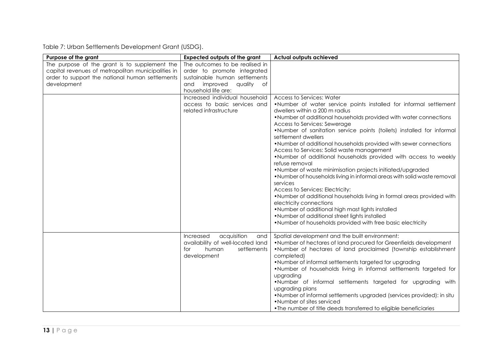Table 7: Urban Settlements Development Grant (USDG).

| Purpose of the grant                                                                                                                                                  | <b>Expected outputs of the grant</b>                                                                                                                      | <b>Actual outputs achieved</b>                                                                                                                                                                                                                                                                                                                                                                                                                                                                                                                                                                                                                                                                                                                                                                                                                                                                                                                                                                                      |
|-----------------------------------------------------------------------------------------------------------------------------------------------------------------------|-----------------------------------------------------------------------------------------------------------------------------------------------------------|---------------------------------------------------------------------------------------------------------------------------------------------------------------------------------------------------------------------------------------------------------------------------------------------------------------------------------------------------------------------------------------------------------------------------------------------------------------------------------------------------------------------------------------------------------------------------------------------------------------------------------------------------------------------------------------------------------------------------------------------------------------------------------------------------------------------------------------------------------------------------------------------------------------------------------------------------------------------------------------------------------------------|
| The purpose of the grant is to supplement the<br>capital revenues of metropolitan municipalities in<br>order to support the national human settlements<br>development | The outcomes to be realised in<br>order to promote integrated<br>sustainable human settlements<br>improved<br>quality<br>and<br>of<br>household life are: |                                                                                                                                                                                                                                                                                                                                                                                                                                                                                                                                                                                                                                                                                                                                                                                                                                                                                                                                                                                                                     |
|                                                                                                                                                                       | Increased individual household<br>access to basic services and<br>related infrastructure                                                                  | Access to Services: Water<br>.Number of water service points installed for informal settlement<br>dwellers within a 200 m radius<br>. Number of additional households provided with water connections<br>Access to Services: Sewerage<br>.Number of sanitation service points (toilets) installed for informal<br>settlement dwellers<br>. Number of additional households provided with sewer connections<br>Access to Services: Solid waste management<br>. Number of additional households provided with access to weekly<br>refuse removal<br>. Number of waste minimisation projects initiated/upgraded<br>. Number of households living in informal areas with solid waste removal<br>services<br>Access to Services: Electricity:<br>. Number of additional households living in formal areas provided with<br>electricity connections<br>. Number of additional high mast lights installed<br>. Number of additional street lights installed<br>. Number of households provided with free basic electricity |
|                                                                                                                                                                       | acquisition<br>Increased<br>and<br>availability of well-located land<br>settlements<br>human<br>for<br>development                                        | Spatial development and the built environment:<br>. Number of hectares of land procured for Greenfields development<br>.Number of hectares of land proclaimed (township establishment<br>completed)<br>• Number of informal settlements targeted for upgrading<br>.Number of households living in informal settlements targeted for<br>upgrading<br>.Number of informal settlements targeted for upgrading with<br>upgrading plans<br>. Number of informal settlements upgraded (services provided): in situ<br>• Number of sites serviced<br>• The number of title deeds transferred to eligible beneficiaries                                                                                                                                                                                                                                                                                                                                                                                                     |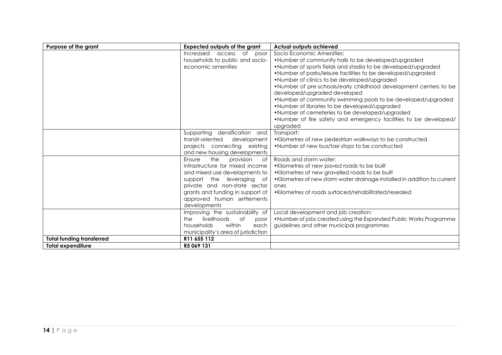| Purpose of the grant             | <b>Expected outputs of the grant</b> | <b>Actual outputs achieved</b>                                            |
|----------------------------------|--------------------------------------|---------------------------------------------------------------------------|
|                                  | Increased<br>of<br>access<br>poor    | Socio Economic Amenities:                                                 |
|                                  | households to public and socio-      | . Number of community halls to be developed/upgraded                      |
|                                  | economic amenities                   | . Number of sports fields and stadia to be developed/upgraded             |
|                                  |                                      | . Number of parks/leisure facilities to be developed/upgraded             |
|                                  |                                      | • Number of clinics to be developed/upgraded                              |
|                                  |                                      | . Number of pre-schools/early childhood development centers to be         |
|                                  |                                      | developed/upgraded developed                                              |
|                                  |                                      | . Number of community swimming pools to be developed/upgraded             |
|                                  |                                      | • Number of libraries to be developed/upgraded                            |
|                                  |                                      | • Number of cemeteries to be developed/upgraded                           |
|                                  |                                      | • Number of fire safety and emergency facilities to be developed/         |
|                                  |                                      | upgraded                                                                  |
|                                  | Supporting densification and         | Transport:                                                                |
|                                  | transit-oriented<br>development      | • Kilometres of new pedestrian walkways to be constructed                 |
|                                  | projects connecting existing         | • Number of new bus/taxi stops to be constructed                          |
|                                  | and new housing developments         |                                                                           |
|                                  | Ensure<br>the<br>provision<br>of     | Roads and storm water:                                                    |
|                                  | infrastructure for mixed income      | • Kilometres of new paved roads to be built                               |
|                                  | and mixed use developments to        | • Kilometres of new gravelled roads to be built                           |
|                                  | support the leveraging<br>of         | • Kilometres of new storm water drainage installed in addition to current |
|                                  | private and non-state sector         | ones                                                                      |
|                                  | grants and funding in support of     | • Kilometres of roads surfaced/rehabilitated/resealed                     |
|                                  | approved human settlements           |                                                                           |
|                                  | developments                         |                                                                           |
|                                  | Improving the sustainability of      | Local development and job creation:                                       |
|                                  | livelihoods<br>the<br>0f<br>poor     | . Number of jobs created using the Expanded Public Works Programme        |
|                                  | within<br>households<br>each         | guidelines and other municipal programmes                                 |
|                                  | municipality's area of jurisdiction  |                                                                           |
| <b>Total funding transferred</b> | R11 655 112                          |                                                                           |
| <b>Total expenditure</b>         | R5 069 131                           |                                                                           |